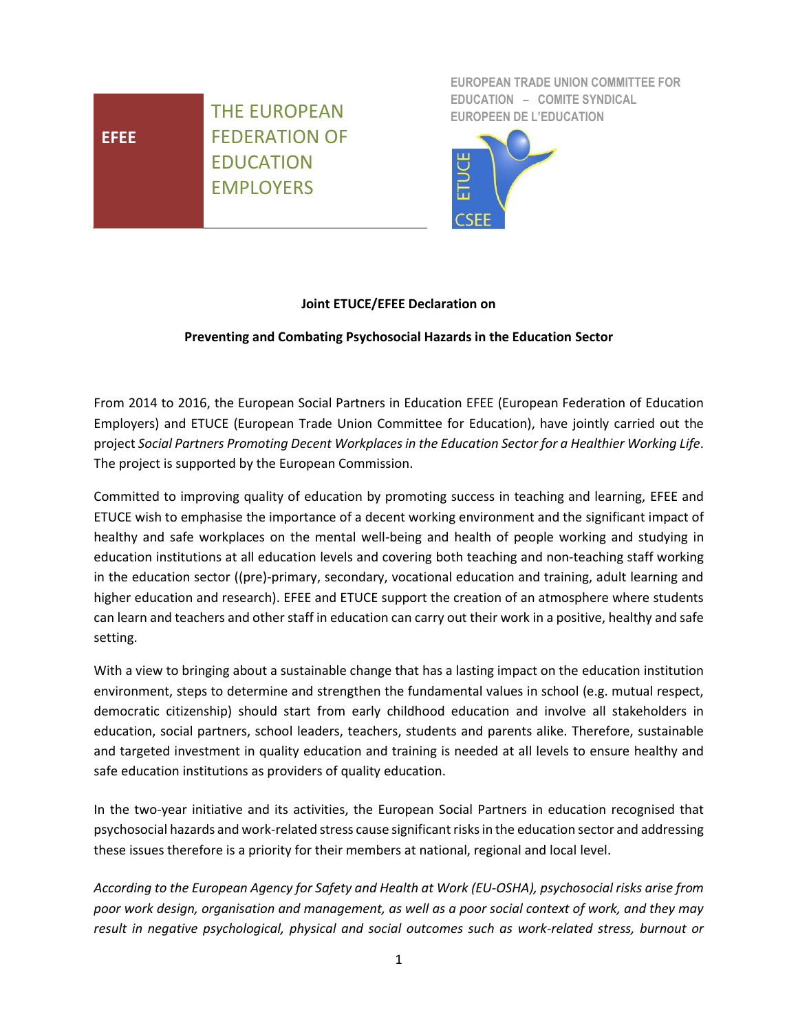# **EFEE**

THE EUROPEAN FEDERATION OF EDUCATION EMPLOYERS

**EUROPEAN TRADE UNION COMMITTEE FOR EDUCATION – COMITE SYNDICAL EUROPEEN DE L'EDUCATION**



## **Joint ETUCE/EFEE Declaration on**

## **Preventing and Combating Psychosocial Hazards in the Education Sector**

From 2014 to 2016, the European Social Partners in Education EFEE (European Federation of Education Employers) and ETUCE (European Trade Union Committee for Education), have jointly carried out the project *Social Partners Promoting Decent Workplaces in the Education Sector for a Healthier Working Life*. The project is supported by the European Commission.

Committed to improving quality of education by promoting success in teaching and learning, EFEE and ETUCE wish to emphasise the importance of a decent working environment and the significant impact of healthy and safe workplaces on the mental well-being and health of people working and studying in education institutions at all education levels and covering both teaching and non-teaching staff working in the education sector ((pre)-primary, secondary, vocational education and training, adult learning and higher education and research). EFEE and ETUCE support the creation of an atmosphere where students can learn and teachers and other staff in education can carry out their work in a positive, healthy and safe setting.

With a view to bringing about a sustainable change that has a lasting impact on the education institution environment, steps to determine and strengthen the fundamental values in school (e.g. mutual respect, democratic citizenship) should start from early childhood education and involve all stakeholders in education, social partners, school leaders, teachers, students and parents alike. Therefore, sustainable and targeted investment in quality education and training is needed at all levels to ensure healthy and safe education institutions as providers of quality education.

In the two-year initiative and its activities, the European Social Partners in education recognised that psychosocial hazards and work-related stress cause significant risksin the education sector and addressing these issues therefore is a priority for their members at national, regional and local level.

*According to the European Agency for Safety and Health at Work (EU-OSHA), psychosocial risks arise from poor work design, organisation and management, as well as a poor social context of work, and they may result in negative psychological, physical and social outcomes such as work-related stress, burnout or*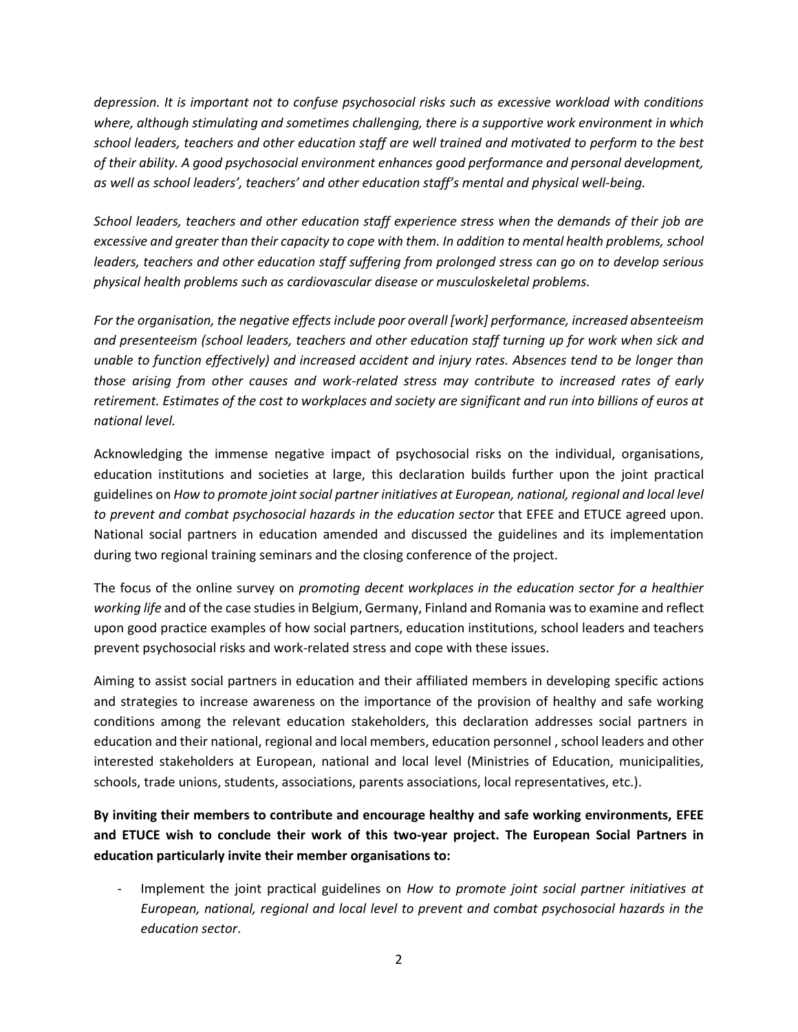*depression. It is important not to confuse psychosocial risks such as excessive workload with conditions where, although stimulating and sometimes challenging, there is a supportive work environment in which school leaders, teachers and other education staff are well trained and motivated to perform to the best of their ability. A good psychosocial environment enhances good performance and personal development, as well as school leaders', teachers' and other education staff's mental and physical well-being.*

*School leaders, teachers and other education staff experience stress when the demands of their job are excessive and greater than their capacity to cope with them. In addition to mental health problems, school leaders, teachers and other education staff suffering from prolonged stress can go on to develop serious physical health problems such as cardiovascular disease or musculoskeletal problems.*

*For the organisation, the negative effects include poor overall [work] performance, increased absenteeism and presenteeism (school leaders, teachers and other education staff turning up for work when sick and unable to function effectively) and increased accident and injury rates. Absences tend to be longer than those arising from other causes and work-related stress may contribute to increased rates of early retirement. Estimates of the cost to workplaces and society are significant and run into billions of euros at national level.*

Acknowledging the immense negative impact of psychosocial risks on the individual, organisations, education institutions and societies at large, this declaration builds further upon the joint practical guidelines on *How to promote joint social partner initiatives at European, national, regional and local level to prevent and combat psychosocial hazards in the education sector* that EFEE and ETUCE agreed upon. National social partners in education amended and discussed the guidelines and its implementation during two regional training seminars and the closing conference of the project.

The focus of the online survey on *promoting decent workplaces in the education sector for a healthier working life* and of the case studies in Belgium, Germany, Finland and Romania was to examine and reflect upon good practice examples of how social partners, education institutions, school leaders and teachers prevent psychosocial risks and work-related stress and cope with these issues.

Aiming to assist social partners in education and their affiliated members in developing specific actions and strategies to increase awareness on the importance of the provision of healthy and safe working conditions among the relevant education stakeholders, this declaration addresses social partners in education and their national, regional and local members, education personnel , school leaders and other interested stakeholders at European, national and local level (Ministries of Education, municipalities, schools, trade unions, students, associations, parents associations, local representatives, etc.).

**By inviting their members to contribute and encourage healthy and safe working environments, EFEE and ETUCE wish to conclude their work of this two-year project. The European Social Partners in education particularly invite their member organisations to:**

- Implement the joint practical guidelines on *How to promote joint social partner initiatives at European, national, regional and local level to prevent and combat psychosocial hazards in the education sector*.